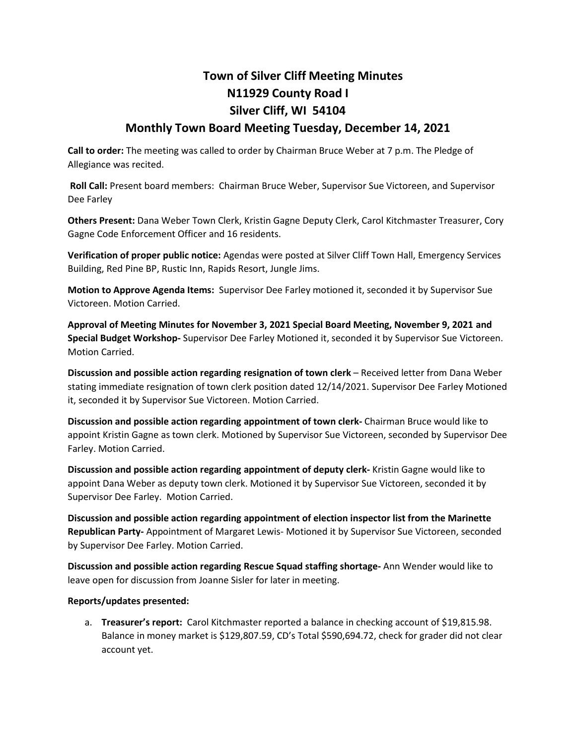## **Town of Silver Cliff Meeting Minutes N11929 County Road I Silver Cliff, WI 54104**

## **Monthly Town Board Meeting Tuesday, December 14, 2021**

**Call to order:** The meeting was called to order by Chairman Bruce Weber at 7 p.m. The Pledge of Allegiance was recited.

**Roll Call:** Present board members: Chairman Bruce Weber, Supervisor Sue Victoreen, and Supervisor Dee Farley

**Others Present:** Dana Weber Town Clerk, Kristin Gagne Deputy Clerk, Carol Kitchmaster Treasurer, Cory Gagne Code Enforcement Officer and 16 residents.

**Verification of proper public notice:** Agendas were posted at Silver Cliff Town Hall, Emergency Services Building, Red Pine BP, Rustic Inn, Rapids Resort, Jungle Jims.

**Motion to Approve Agenda Items:** Supervisor Dee Farley motioned it, seconded it by Supervisor Sue Victoreen. Motion Carried.

**Approval of Meeting Minutes for November 3, 2021 Special Board Meeting, November 9, 2021 and Special Budget Workshop-** Supervisor Dee Farley Motioned it, seconded it by Supervisor Sue Victoreen. Motion Carried.

**Discussion and possible action regarding resignation of town clerk** – Received letter from Dana Weber stating immediate resignation of town clerk position dated 12/14/2021. Supervisor Dee Farley Motioned it, seconded it by Supervisor Sue Victoreen. Motion Carried.

**Discussion and possible action regarding appointment of town clerk-** Chairman Bruce would like to appoint Kristin Gagne as town clerk. Motioned by Supervisor Sue Victoreen, seconded by Supervisor Dee Farley. Motion Carried.

**Discussion and possible action regarding appointment of deputy clerk-** Kristin Gagne would like to appoint Dana Weber as deputy town clerk. Motioned it by Supervisor Sue Victoreen, seconded it by Supervisor Dee Farley. Motion Carried.

**Discussion and possible action regarding appointment of election inspector list from the Marinette Republican Party-** Appointment of Margaret Lewis- Motioned it by Supervisor Sue Victoreen, seconded by Supervisor Dee Farley. Motion Carried.

**Discussion and possible action regarding Rescue Squad staffing shortage-** Ann Wender would like to leave open for discussion from Joanne Sisler for later in meeting.

## **Reports/updates presented:**

a. **Treasurer's report:** Carol Kitchmaster reported a balance in checking account of \$19,815.98. Balance in money market is \$129,807.59, CD's Total \$590,694.72, check for grader did not clear account yet.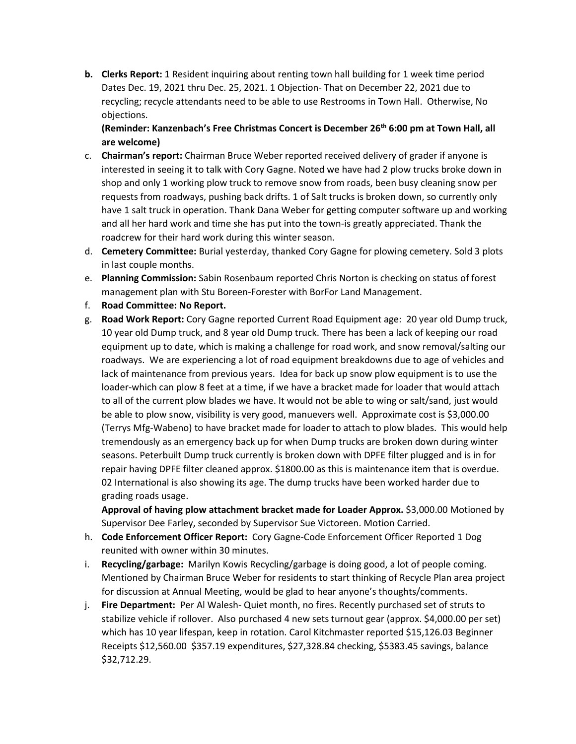**b. Clerks Report:** 1 Resident inquiring about renting town hall building for 1 week time period Dates Dec. 19, 2021 thru Dec. 25, 2021. 1 Objection- That on December 22, 2021 due to recycling; recycle attendants need to be able to use Restrooms in Town Hall. Otherwise, No objections.

**(Reminder: Kanzenbach's Free Christmas Concert is December 26th 6:00 pm at Town Hall, all are welcome)**

- c. **Chairman's report:** Chairman Bruce Weber reported received delivery of grader if anyone is interested in seeing it to talk with Cory Gagne. Noted we have had 2 plow trucks broke down in shop and only 1 working plow truck to remove snow from roads, been busy cleaning snow per requests from roadways, pushing back drifts. 1 of Salt trucks is broken down, so currently only have 1 salt truck in operation. Thank Dana Weber for getting computer software up and working and all her hard work and time she has put into the town-is greatly appreciated. Thank the roadcrew for their hard work during this winter season.
- d. **Cemetery Committee:** Burial yesterday, thanked Cory Gagne for plowing cemetery. Sold 3 plots in last couple months.
- e. **Planning Commission:** Sabin Rosenbaum reported Chris Norton is checking on status of forest management plan with Stu Boreen-Forester with BorFor Land Management.
- f. **Road Committee: No Report.**
- g. **Road Work Report:** Cory Gagne reported Current Road Equipment age: 20 year old Dump truck, 10 year old Dump truck, and 8 year old Dump truck. There has been a lack of keeping our road equipment up to date, which is making a challenge for road work, and snow removal/salting our roadways. We are experiencing a lot of road equipment breakdowns due to age of vehicles and lack of maintenance from previous years. Idea for back up snow plow equipment is to use the loader-which can plow 8 feet at a time, if we have a bracket made for loader that would attach to all of the current plow blades we have. It would not be able to wing or salt/sand, just would be able to plow snow, visibility is very good, manuevers well. Approximate cost is \$3,000.00 (Terrys Mfg-Wabeno) to have bracket made for loader to attach to plow blades. This would help tremendously as an emergency back up for when Dump trucks are broken down during winter seasons. Peterbuilt Dump truck currently is broken down with DPFE filter plugged and is in for repair having DPFE filter cleaned approx. \$1800.00 as this is maintenance item that is overdue. 02 International is also showing its age. The dump trucks have been worked harder due to grading roads usage.

**Approval of having plow attachment bracket made for Loader Approx.** \$3,000.00 Motioned by Supervisor Dee Farley, seconded by Supervisor Sue Victoreen. Motion Carried.

- h. **Code Enforcement Officer Report:** Cory Gagne-Code Enforcement Officer Reported 1 Dog reunited with owner within 30 minutes.
- i. **Recycling/garbage:** Marilyn Kowis Recycling/garbage is doing good, a lot of people coming. Mentioned by Chairman Bruce Weber for residents to start thinking of Recycle Plan area project for discussion at Annual Meeting, would be glad to hear anyone's thoughts/comments.
- j. **Fire Department:** Per Al Walesh- Quiet month, no fires. Recently purchased set of struts to stabilize vehicle if rollover. Also purchased 4 new sets turnout gear (approx. \$4,000.00 per set) which has 10 year lifespan, keep in rotation. Carol Kitchmaster reported \$15,126.03 Beginner Receipts \$12,560.00 \$357.19 expenditures, \$27,328.84 checking, \$5383.45 savings, balance \$32,712.29.